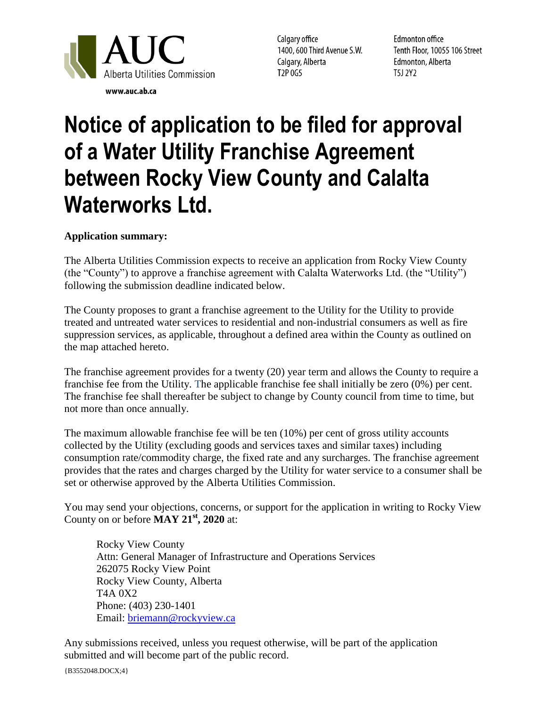

Calgary office 1400, 600 Third Avenue S.W. Calgary, Alberta T2P 0G5

**Edmonton office** Tenth Floor, 10055 106 Street Edmonton, Alberta T5J 2Y2

## **Notice of application to be filed for approval of a Water Utility Franchise Agreement between Rocky View County and Calalta Waterworks Ltd.**

## **Application summary:**

The Alberta Utilities Commission expects to receive an application from Rocky View County (the "County") to approve a franchise agreement with Calalta Waterworks Ltd. (the "Utility") following the submission deadline indicated below.

The County proposes to grant a franchise agreement to the Utility for the Utility to provide treated and untreated water services to residential and non-industrial consumers as well as fire suppression services, as applicable, throughout a defined area within the County as outlined on the map attached hereto.

The franchise agreement provides for a twenty (20) year term and allows the County to require a franchise fee from the Utility. The applicable franchise fee shall initially be zero (0%) per cent. The franchise fee shall thereafter be subject to change by County council from time to time, but not more than once annually.

The maximum allowable franchise fee will be ten (10%) per cent of gross utility accounts collected by the Utility (excluding goods and services taxes and similar taxes) including consumption rate/commodity charge, the fixed rate and any surcharges. The franchise agreement provides that the rates and charges charged by the Utility for water service to a consumer shall be set or otherwise approved by the Alberta Utilities Commission.

You may send your objections, concerns, or support for the application in writing to Rocky View County on or before **MAY 21st, 2020** at:

Rocky View County Attn: General Manager of Infrastructure and Operations Services 262075 Rocky View Point Rocky View County, Alberta T4A 0X2 Phone: (403) 230-1401 Email: [briemann@rockyview.ca](mailto:briemann@rockyview.ca)

Any submissions received, unless you request otherwise, will be part of the application submitted and will become part of the public record.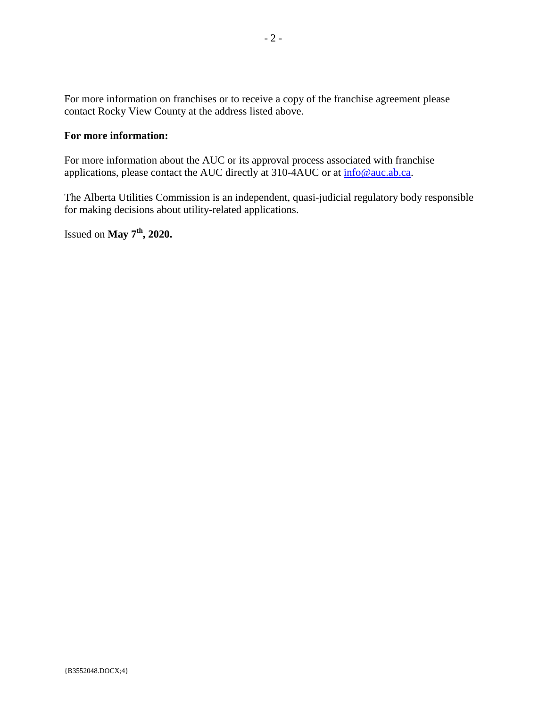For more information on franchises or to receive a copy of the franchise agreement please contact Rocky View County at the address listed above.

## **For more information:**

For more information about the AUC or its approval process associated with franchise applications, please contact the AUC directly at 310-4AUC or at [info@auc.ab.ca.](mailto:info@auc.ab.ca)

The Alberta Utilities Commission is an independent, quasi-judicial regulatory body responsible for making decisions about utility-related applications.

Issued on **May 7th, 2020.**